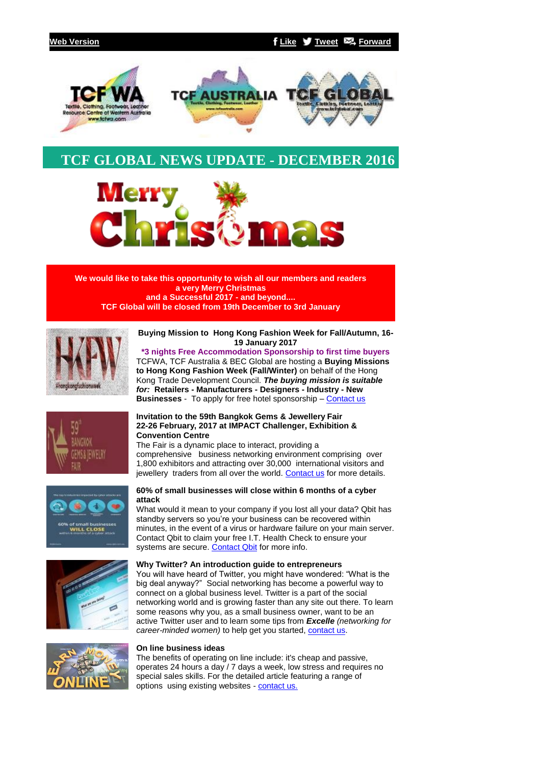

# **TCF GLOBAL NEWS UPDATE - DECEMBER 2016**



**We would like to take this opportunity to wish all our members and readers a very Merry Christmas and a Successful 2017 - and beyond.... TCF Global will be closed from 19th December to 3rd January**



#### **Buying Mission to Hong Kong Fashion Week for Fall/Autumn, 16- 19 January 2017**

**\*3 nights Free Accommodation Sponsorship to first time buyers** TCFWA, TCF Australia & BEC Global are hosting a **Buying Missions to Hong Kong Fashion Week (Fall/Winter)** on behalf of the Hong Kong Trade Development Council. *The buying mission is suitable for:* **Retailers - Manufacturers - Designers - Industry - New Businesses** - To apply for free hotel sponsorship – [Contact us](mailto:events@tcfwa.com?subject=Re%3A%20Buying%20Mission%20to%20%20Hong%20Kong%20Fashion%20Week%20for%20Fall%2FAutumn%2C%2016-19%20January%202017)



# **Invitation to the 59th Bangkok Gems & Jewellery Fair 22-26 February, 2017 at IMPACT Challenger, Exhibition & Convention Centre**

The Fair is a dynamic place to interact, providing a comprehensive business networking environment comprising over 1,800 exhibitors and attracting over 30,000 international visitors and jewellery traders from all over the world. [Contact us](mailto:events@tcfwa.com?subject=Re%3A%20Invitation%20to%20the%2059th%20Bangkok%20Gems%20%26%20Jewellery%20Fair%2022-26%20February%2C%202017%20at%20IMPACT%20Challenger%2C%20Exhibition%20%26%20Convention%20Centre) for more details.





# **60% of small businesses will close within 6 months of a cyber attack**

What would it mean to your company if you lost all your data? Qbit has standby servers so you're your business can be recovered within minutes, in the event of a virus or hardware failure on your main server. Contact Qbit to claim your free I.T. Health Check to ensure your systems are secure. [Contact Qbit](mailto:support@belmontbec.com?subject=Contact%20Qbit%20re%3A%2060%25%20of%20small%20businesses%20will%20close%20within%206%20months%20of%20a%20cyber%20attack) for more info.

# **Why Twitter? An introduction guide to entrepreneurs**

You will have heard of Twitter, you might have wondered: "What is the big deal anyway?" Social networking has become a powerful way to connect on a global business level. Twitter is a part of the social networking world and is growing faster than any site out there. To learn some reasons why you, as a small business owner, want to be an active Twitter user and to learn some tips from *Excelle (networking for career-minded women)* to help get you started, **[contact us.](mailto:support@belmontbec.com?subject=Re%3A%20Why%20Twitter%3F%20An%20introduction%20guide%20to%20entrepreneurs)** 



# **On line business ideas**

The benefits of operating on line include: it's cheap and passive, operates 24 hours a day / 7 days a week, low stress and requires no special sales skills. For the detailed article featuring a range of options using existing websites - [contact us.](mailto:support@belmontbec.com?subject=Re%3A%20On%20line%20business%20ideas)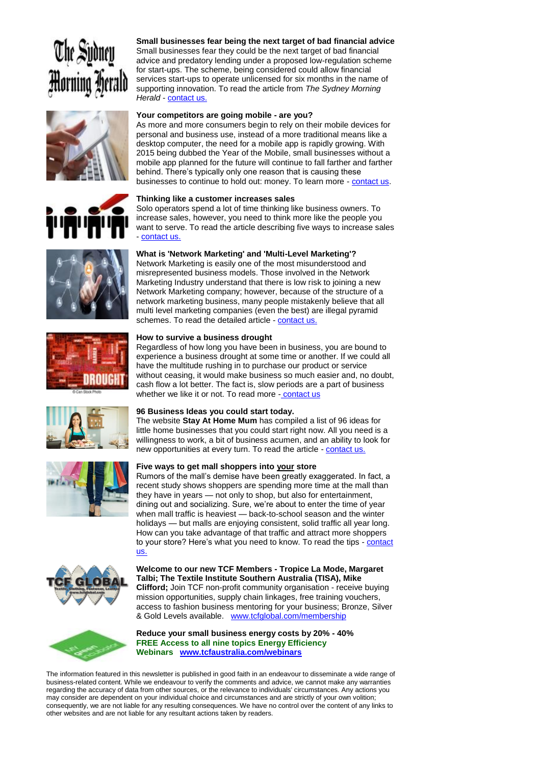















# **Small businesses fear being the next target of bad financial advice** Small businesses fear they could be the next target of bad financial advice and predatory lending under a proposed low-regulation scheme for start-ups. The scheme, being considered could allow financial services start-ups to operate unlicensed for six months in the name of supporting innovation. To read the article from *The Sydney Morning Herald* - [contact us.](mailto:support@belmontbec.com?subject=Re%3A%20Small%20businesses%20fear%20being%20the%20next%20target%20of%20bad%20financial%20advice)

# **Your competitors are going mobile - are you?**

As more and more consumers begin to rely on their mobile devices for personal and business use, instead of a more traditional means like a desktop computer, the need for a mobile app is rapidly growing. With 2015 being dubbed the Year of the Mobile, small businesses without a mobile app planned for the future will continue to fall farther and farther behind. There's typically only one reason that is causing these businesses to continue to hold out: money. To learn more - [contact us.](mailto:support@belmontbec.com?subject=Re%3A%20Your%20competitors%20are%20going%20mobile%20-%20are%20you%3F)

# **Thinking like a customer increases sales**

Solo operators spend a lot of time thinking like business owners. To increase sales, however, you need to think more like the people you want to serve. To read the article describing five ways to increase sales - [contact us.](mailto:support@belmontbec.com?subject=Re%3A%20Thinking%20like%20a%20customer%20increases%20sales)

# **What is 'Network Marketing' and 'Multi-Level Marketing'?**

Network Marketing is easily one of the most misunderstood and misrepresented business models. Those involved in the Network Marketing Industry understand that there is low risk to joining a new Network Marketing company; however, because of the structure of a network marketing business, many people mistakenly believe that all multi level marketing companies (even the best) are illegal pyramid schemes. To read the detailed article - [contact us.](mailto:support@belmontbec.com?subject=Re%3A%20What%20is%20%27Network%20Marketing%27%20and%20%27Multi-Level%20Marketing%27%3F)

# **How to survive a business drought**

Regardless of how long you have been in business, you are bound to experience a business drought at some time or another. If we could all have the multitude rushing in to purchase our product or service without ceasing, it would make business so much easier and, no doubt, cash flow a lot better. The fact is, slow periods are a part of business whether we like it or not. To read more - [contact us](mailto:support@belmontbec.com?subject=Re%3A%20How%20to%20survive%20a%20business%20drought)

# **96 Business Ideas you could start today.**

The website **Stay At Home Mum** has compiled a list of 96 ideas for little home businesses that you could start right now. All you need is a willingness to work, a bit of business acumen, and an ability to look for new opportunities at every turn. To read the article - [contact us.](mailto:support@belmontbec.com?subject=Re%3A%2096%20Business%20Ideas%20you%20could%20start%20today.)

# **Five ways to get mall shoppers into your store**

Rumors of the mall's demise have been greatly exaggerated. In fact, a recent study shows shoppers are spending more time at the mall than they have in years — not only to shop, but also for entertainment, dining out and socializing. Sure, we're about to enter the time of year when mall traffic is heaviest — back-to-school season and the winter holidays — but malls are enjoying consistent, solid traffic all year long. How can you take advantage of that traffic and attract more shoppers to your store? Here's what you need to know. To read the tips - contact [us.](mailto:support@belmontbec.com?subject=Re%3A%20Five%20ways%20to%20get%20mall%20shoppers%20into%20your%20store)

#### **Welcome to our new TCF Members - Tropice La Mode, Margaret Talbi; The Textile Institute Southern Australia (TISA), Mike Clifford;** Join TCF non-profit community organisation - receive buying mission opportunities, supply chain linkages, free training vouchers, access to fashion business mentoring for your business; Bronze, Silver & Gold Levels available. [www.tcfglobal.com/membership](http://bbec.bridgewaymailer.com/t/j-l-ulhkydy-l-p/)

**Reduce your small business energy costs by 20% - 40% FREE Access to all nine topics Energy Efficiency Webinars [www.tcfaustralia.com/webinars](http://bbec.bridgewaymailer.com/t/j-l-ulhkydy-l-x/)**

The information featured in this newsletter is published in good faith in an endeavour to disseminate a wide range of business-related content. While we endeavour to verify the comments and advice, we cannot make any warranties regarding the accuracy of data from other sources, or the relevance to individuals' circumstances. Any actions you may consider are dependent on your individual choice and circumstances and are strictly of your own volition; consequently, we are not liable for any resulting consequences. We have no control over the content of any links to other websites and are not liable for any resultant actions taken by readers.